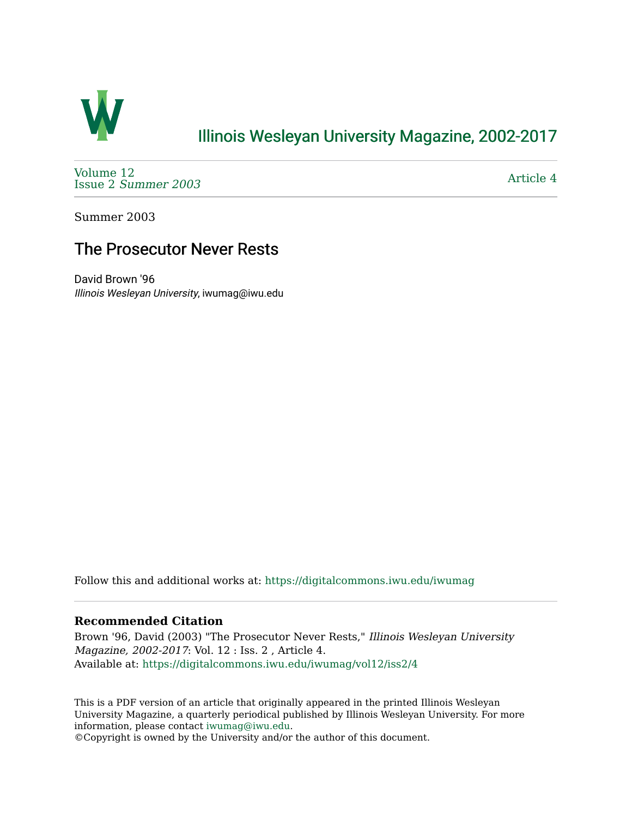

### [Illinois Wesleyan University Magazine, 2002-2017](https://digitalcommons.iwu.edu/iwumag)

[Volume 12](https://digitalcommons.iwu.edu/iwumag/vol12)  Issue 2 [Summer 2003](https://digitalcommons.iwu.edu/iwumag/vol12/iss2) 

[Article 4](https://digitalcommons.iwu.edu/iwumag/vol12/iss2/4) 

Summer 2003

# The Prosecutor Never Rests

David Brown '96 Illinois Wesleyan University, iwumag@iwu.edu

Follow this and additional works at: [https://digitalcommons.iwu.edu/iwumag](https://digitalcommons.iwu.edu/iwumag?utm_source=digitalcommons.iwu.edu%2Fiwumag%2Fvol12%2Fiss2%2F4&utm_medium=PDF&utm_campaign=PDFCoverPages) 

#### **Recommended Citation**

Brown '96, David (2003) "The Prosecutor Never Rests," Illinois Wesleyan University Magazine, 2002-2017: Vol. 12 : Iss. 2 , Article 4. Available at: [https://digitalcommons.iwu.edu/iwumag/vol12/iss2/4](https://digitalcommons.iwu.edu/iwumag/vol12/iss2/4?utm_source=digitalcommons.iwu.edu%2Fiwumag%2Fvol12%2Fiss2%2F4&utm_medium=PDF&utm_campaign=PDFCoverPages)

This is a PDF version of an article that originally appeared in the printed Illinois Wesleyan University Magazine, a quarterly periodical published by Illinois Wesleyan University. For more information, please contact [iwumag@iwu.edu](mailto:iwumag@iwu.edu).

©Copyright is owned by the University and/or the author of this document.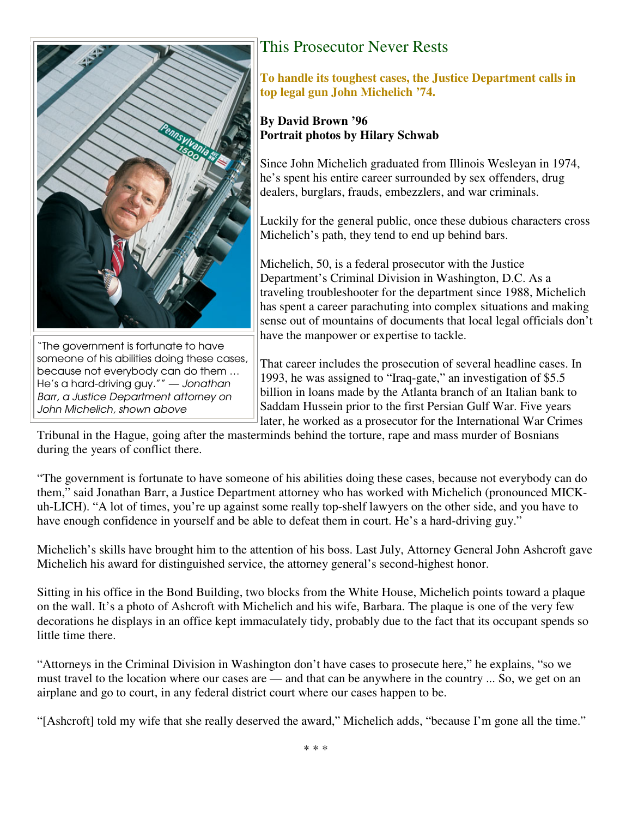

"The government is fortunate to have someone of his abilities doing these cases, because not everybody can do them … He's a hard-driving guy."" — Jonathan Barr, a Justice Department attorney on John Michelich, shown above

# This Prosecutor Never Rests

**To handle its toughest cases, the Justice Department calls in top legal gun John Michelich '74.** 

### **By David Brown '96 Portrait photos by Hilary Schwab**

Since John Michelich graduated from Illinois Wesleyan in 1974, he's spent his entire career surrounded by sex offenders, drug dealers, burglars, frauds, embezzlers, and war criminals.

Luckily for the general public, once these dubious characters cross Michelich's path, they tend to end up behind bars.

Michelich, 50, is a federal prosecutor with the Justice Department's Criminal Division in Washington, D.C. As a traveling troubleshooter for the department since 1988, Michelich has spent a career parachuting into complex situations and making sense out of mountains of documents that local legal officials don't have the manpower or expertise to tackle.

That career includes the prosecution of several headline cases. In 1993, he was assigned to "Iraq-gate," an investigation of \$5.5 billion in loans made by the Atlanta branch of an Italian bank to Saddam Hussein prior to the first Persian Gulf War. Five years later, he worked as a prosecutor for the International War Crimes

Tribunal in the Hague, going after the masterminds behind the torture, rape and mass murder of Bosnians during the years of conflict there.

"The government is fortunate to have someone of his abilities doing these cases, because not everybody can do them," said Jonathan Barr, a Justice Department attorney who has worked with Michelich (pronounced MICKuh-LICH). "A lot of times, you're up against some really top-shelf lawyers on the other side, and you have to have enough confidence in yourself and be able to defeat them in court. He's a hard-driving guy."

Michelich's skills have brought him to the attention of his boss. Last July, Attorney General John Ashcroft gave Michelich his award for distinguished service, the attorney general's second-highest honor.

Sitting in his office in the Bond Building, two blocks from the White House, Michelich points toward a plaque on the wall. It's a photo of Ashcroft with Michelich and his wife, Barbara. The plaque is one of the very few decorations he displays in an office kept immaculately tidy, probably due to the fact that its occupant spends so little time there.

"Attorneys in the Criminal Division in Washington don't have cases to prosecute here," he explains, "so we must travel to the location where our cases are — and that can be anywhere in the country ... So, we get on an airplane and go to court, in any federal district court where our cases happen to be.

"[Ashcroft] told my wife that she really deserved the award," Michelich adds, "because I'm gone all the time."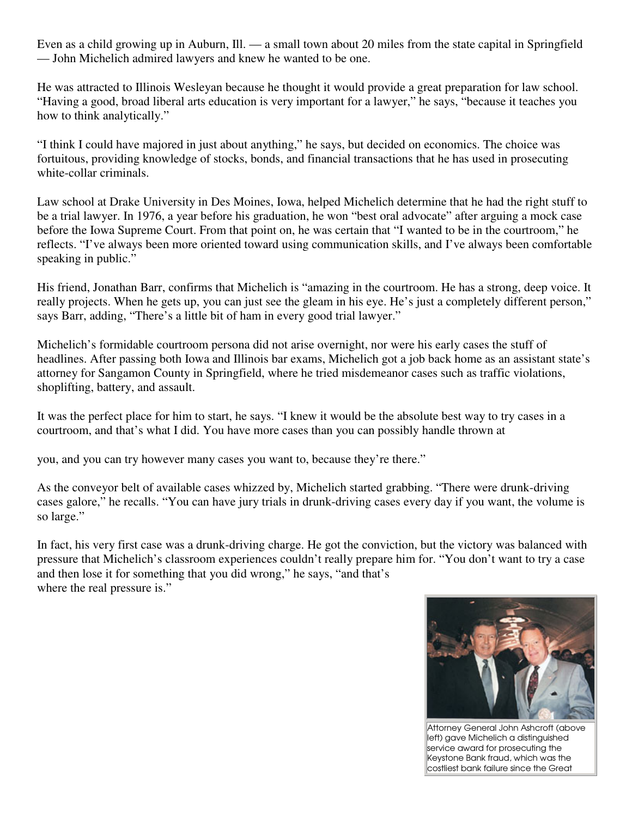Even as a child growing up in Auburn, Ill. — a small town about 20 miles from the state capital in Springfield — John Michelich admired lawyers and knew he wanted to be one.

He was attracted to Illinois Wesleyan because he thought it would provide a great preparation for law school. "Having a good, broad liberal arts education is very important for a lawyer," he says, "because it teaches you how to think analytically."

"I think I could have majored in just about anything," he says, but decided on economics. The choice was fortuitous, providing knowledge of stocks, bonds, and financial transactions that he has used in prosecuting white-collar criminals.

Law school at Drake University in Des Moines, Iowa, helped Michelich determine that he had the right stuff to be a trial lawyer. In 1976, a year before his graduation, he won "best oral advocate" after arguing a mock case before the Iowa Supreme Court. From that point on, he was certain that "I wanted to be in the courtroom," he reflects. "I've always been more oriented toward using communication skills, and I've always been comfortable speaking in public."

His friend, Jonathan Barr, confirms that Michelich is "amazing in the courtroom. He has a strong, deep voice. It really projects. When he gets up, you can just see the gleam in his eye. He's just a completely different person," says Barr, adding, "There's a little bit of ham in every good trial lawyer."

Michelich's formidable courtroom persona did not arise overnight, nor were his early cases the stuff of headlines. After passing both Iowa and Illinois bar exams, Michelich got a job back home as an assistant state's attorney for Sangamon County in Springfield, where he tried misdemeanor cases such as traffic violations, shoplifting, battery, and assault.

It was the perfect place for him to start, he says. "I knew it would be the absolute best way to try cases in a courtroom, and that's what I did. You have more cases than you can possibly handle thrown at

you, and you can try however many cases you want to, because they're there."

As the conveyor belt of available cases whizzed by, Michelich started grabbing. "There were drunk-driving cases galore," he recalls. "You can have jury trials in drunk-driving cases every day if you want, the volume is so large."

In fact, his very first case was a drunk-driving charge. He got the conviction, but the victory was balanced with pressure that Michelich's classroom experiences couldn't really prepare him for. "You don't want to try a case and then lose it for something that you did wrong," he says, "and that's where the real pressure is."



Attorney General John Ashcroft (above left) gave Michelich a distinguished service award for prosecuting the Keystone Bank fraud, which was the costliest bank failure since the Great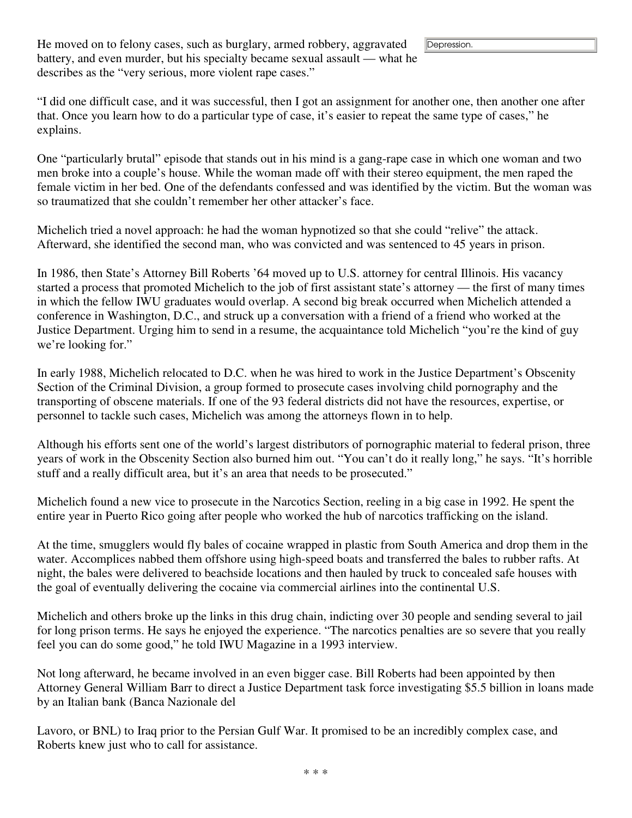Depression.

He moved on to felony cases, such as burglary, armed robbery, aggravated battery, and even murder, but his specialty became sexual assault — what he describes as the "very serious, more violent rape cases."

"I did one difficult case, and it was successful, then I got an assignment for another one, then another one after that. Once you learn how to do a particular type of case, it's easier to repeat the same type of cases," he explains.

One "particularly brutal" episode that stands out in his mind is a gang-rape case in which one woman and two men broke into a couple's house. While the woman made off with their stereo equipment, the men raped the female victim in her bed. One of the defendants confessed and was identified by the victim. But the woman was so traumatized that she couldn't remember her other attacker's face.

Michelich tried a novel approach: he had the woman hypnotized so that she could "relive" the attack. Afterward, she identified the second man, who was convicted and was sentenced to 45 years in prison.

In 1986, then State's Attorney Bill Roberts '64 moved up to U.S. attorney for central Illinois. His vacancy started a process that promoted Michelich to the job of first assistant state's attorney — the first of many times in which the fellow IWU graduates would overlap. A second big break occurred when Michelich attended a conference in Washington, D.C., and struck up a conversation with a friend of a friend who worked at the Justice Department. Urging him to send in a resume, the acquaintance told Michelich "you're the kind of guy we're looking for."

In early 1988, Michelich relocated to D.C. when he was hired to work in the Justice Department's Obscenity Section of the Criminal Division, a group formed to prosecute cases involving child pornography and the transporting of obscene materials. If one of the 93 federal districts did not have the resources, expertise, or personnel to tackle such cases, Michelich was among the attorneys flown in to help.

Although his efforts sent one of the world's largest distributors of pornographic material to federal prison, three years of work in the Obscenity Section also burned him out. "You can't do it really long," he says. "It's horrible stuff and a really difficult area, but it's an area that needs to be prosecuted."

Michelich found a new vice to prosecute in the Narcotics Section, reeling in a big case in 1992. He spent the entire year in Puerto Rico going after people who worked the hub of narcotics trafficking on the island.

At the time, smugglers would fly bales of cocaine wrapped in plastic from South America and drop them in the water. Accomplices nabbed them offshore using high-speed boats and transferred the bales to rubber rafts. At night, the bales were delivered to beachside locations and then hauled by truck to concealed safe houses with the goal of eventually delivering the cocaine via commercial airlines into the continental U.S.

Michelich and others broke up the links in this drug chain, indicting over 30 people and sending several to jail for long prison terms. He says he enjoyed the experience. "The narcotics penalties are so severe that you really feel you can do some good," he told IWU Magazine in a 1993 interview.

Not long afterward, he became involved in an even bigger case. Bill Roberts had been appointed by then Attorney General William Barr to direct a Justice Department task force investigating \$5.5 billion in loans made by an Italian bank (Banca Nazionale del

Lavoro, or BNL) to Iraq prior to the Persian Gulf War. It promised to be an incredibly complex case, and Roberts knew just who to call for assistance.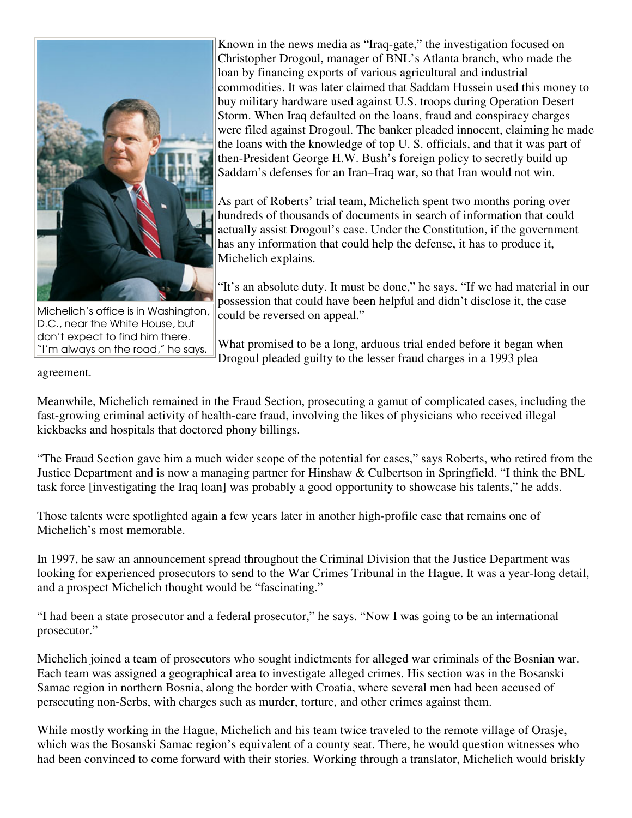

Michelich's office is in Washington, D.C., near the White House, but don't expect to find him there. "I'm always on the road," he says.

Known in the news media as "Iraq-gate," the investigation focused on Christopher Drogoul, manager of BNL's Atlanta branch, who made the loan by financing exports of various agricultural and industrial commodities. It was later claimed that Saddam Hussein used this money to buy military hardware used against U.S. troops during Operation Desert Storm. When Iraq defaulted on the loans, fraud and conspiracy charges were filed against Drogoul. The banker pleaded innocent, claiming he made the loans with the knowledge of top U. S. officials, and that it was part of then-President George H.W. Bush's foreign policy to secretly build up Saddam's defenses for an Iran–Iraq war, so that Iran would not win.

As part of Roberts' trial team, Michelich spent two months poring over hundreds of thousands of documents in search of information that could actually assist Drogoul's case. Under the Constitution, if the government has any information that could help the defense, it has to produce it, Michelich explains.

"It's an absolute duty. It must be done," he says. "If we had material in our possession that could have been helpful and didn't disclose it, the case could be reversed on appeal."

What promised to be a long, arduous trial ended before it began when Drogoul pleaded guilty to the lesser fraud charges in a 1993 plea

agreement.

Meanwhile, Michelich remained in the Fraud Section, prosecuting a gamut of complicated cases, including the fast-growing criminal activity of health-care fraud, involving the likes of physicians who received illegal kickbacks and hospitals that doctored phony billings.

"The Fraud Section gave him a much wider scope of the potential for cases," says Roberts, who retired from the Justice Department and is now a managing partner for Hinshaw & Culbertson in Springfield. "I think the BNL task force [investigating the Iraq loan] was probably a good opportunity to showcase his talents," he adds.

Those talents were spotlighted again a few years later in another high-profile case that remains one of Michelich's most memorable.

In 1997, he saw an announcement spread throughout the Criminal Division that the Justice Department was looking for experienced prosecutors to send to the War Crimes Tribunal in the Hague. It was a year-long detail, and a prospect Michelich thought would be "fascinating."

"I had been a state prosecutor and a federal prosecutor," he says. "Now I was going to be an international prosecutor."

Michelich joined a team of prosecutors who sought indictments for alleged war criminals of the Bosnian war. Each team was assigned a geographical area to investigate alleged crimes. His section was in the Bosanski Samac region in northern Bosnia, along the border with Croatia, where several men had been accused of persecuting non-Serbs, with charges such as murder, torture, and other crimes against them.

While mostly working in the Hague, Michelich and his team twice traveled to the remote village of Orasje, which was the Bosanski Samac region's equivalent of a county seat. There, he would question witnesses who had been convinced to come forward with their stories. Working through a translator, Michelich would briskly